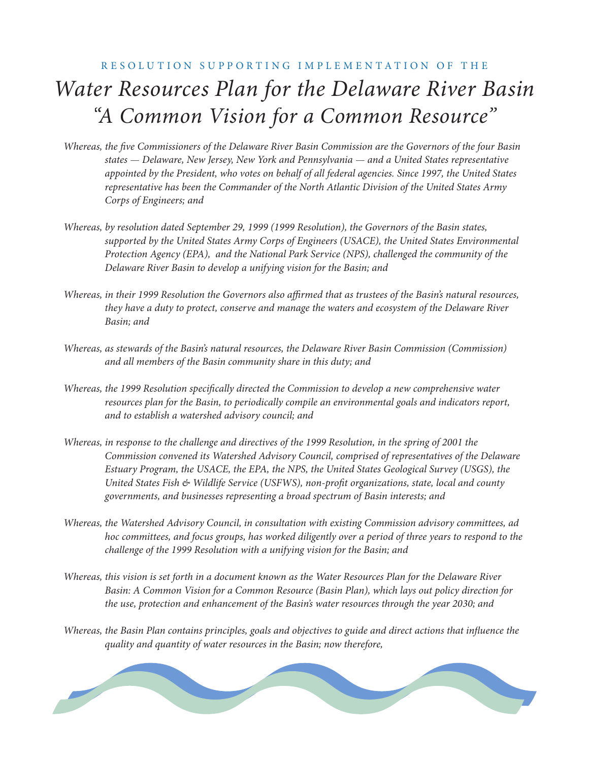## RESOLUTION SUPPORTING IMPLEMENTATION OF THE *Water Resources Plan for the Delaware River Basin "A Common Vision for a Common Resource" A Common Vision for a Common Resource "*

- *Whereas, the five Commissioners of the Delaware River Basin Commission are the Governors of the four Basin states — Delaware, New Jersey, New York and Pennsylvania — and a United States representative appointed by the President, who votes on behalf of all federal agencies. Since 1997, the United States representative has been the Commander of the North Atlantic Division of the United States Army Corps of Engineers; and*
- *Whereas, by resolution dated September 29, 1999 (1999 Resolution), the Governors of the Basin states, supported by the United States Army Corps of Engineers (USACE), the United States Environmental Protection Agency (EPA), and the National Park Service (NPS), challenged the community of the Delaware River Basin to develop a unifying vision for the Basin; and*
- *Whereas, in their 1999 Resolution the Governors also affirmed that as trustees of the Basin's natural resources, they have a duty to protect, conserve and manage the waters and ecosystem of the Delaware River Basin; and*
- *Whereas, as stewards of the Basin's natural resources, the Delaware River Basin Commission (Commission) and all members of the Basin community share in this duty; and*
- *Whereas, the 1999 Resolution specifically directed the Commission to develop a new comprehensive water resources plan for the Basin, to periodically compile an environmental goals and indicators report, and to establish a watershed advisory council; and*
- *Whereas, in response to the challenge and directives of the 1999 Resolution, in the spring of 2001 the Commission convened its Watershed Advisory Council, comprised of representatives of the Delaware Estuary Program, the USACE, the EPA, the NPS, the United States Geological Survey (USGS), the United States Fish & Wildlife Service (USFWS), non-profi t organizations, state, local and county governments, and businesses representing a broad spectrum of Basin interests; and*
- *Whereas, the Watershed Advisory Council, in consultation with existing Commission advisory committees, ad hoc committees, and focus groups, has worked diligently over a period of three years to respond to the challenge of the 1999 Resolution with a unifying vision for the Basin; and*
- *Whereas, this vision is set forth in a document known as the Water Resources Plan for the Delaware River Basin: A Common Vision for a Common Resource (Basin Plan), which lays out policy direction for the use, protection and enhancement of the Basin's water resources through the year 2030; and*
- *Whereas, the Basin Plan contains principles, goals and objectives to guide and direct actions that influence the quality and quantity of water resources in the Basin; now therefore,*

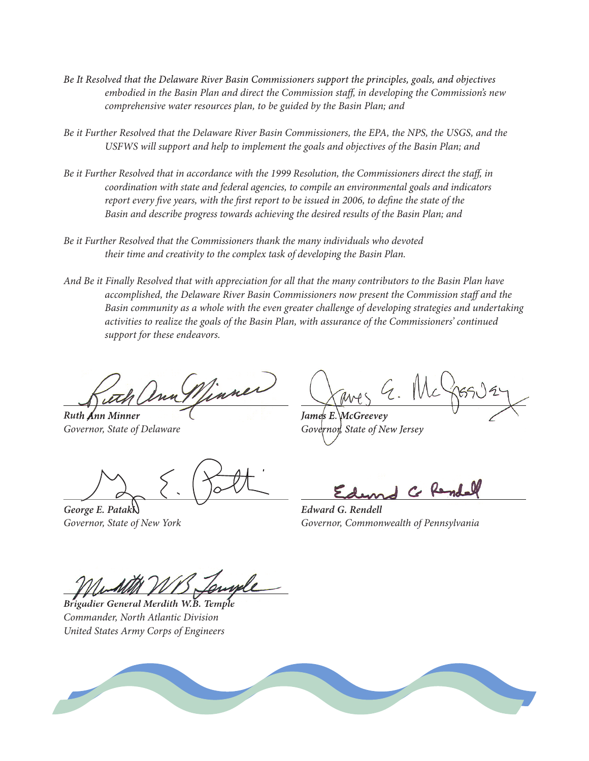- *Be It Resolved that the Delaware River Basin Commissioners support the principles, goals, and objectives* embodied in the Basin Plan and direct the Commission staff, in developing the Commission's new *comprehensive water resources plan, to be guided by the Basin Plan; and*
- *Be it Further Resolved that the Delaware River Basin Commissioners, the EPA, the NPS, the USGS, and the USFWS will support and help to implement the goals and objectives of the Basin Plan; and*
- *Be it Further Resolved that in accordance with the 1999 Resolution, the Commissioners direct the staff , in coordination with state and federal agencies, to compile an environmental goals and indicators report every five years, with the first report to be issued in 2006, to define the state of the Basin and describe progress towards achieving the desired results of the Basin Plan; and*
- *Be it Further Resolved that the Commissioners thank the many individuals who devoted their time and creativity to the complex task of developing the Basin Plan.*
- *And Be it Finally Resolved that with appreciation for all that the many contributors to the Basin Plan have accomplished, the Delaware River Basin Commissioners now present the Commission staff and the Basin community as a whole with the even greater challenge of developing strategies and undertaking activities to realize the goals of the Basin Plan, with assurance of the Commissioners' continued support for these endeavors.*

Vinner *Ruth Ann Minner Ruth Ann James E. McGreevey James E.*

*George E. Pataki Edward G. Rendell*

*Governor, State of Delaware Governor, State of Delaware Governor, State of New Jersey Governor, State of New*

Ce Rende

*Governor, State of New York Governor, Commonwealth of Pennsylvania*

*Brigadier General Merdith W.B. Temple Brigadier General Merdith W.B. Commander, North Atlantic Division United States Army Corps of Engineers*